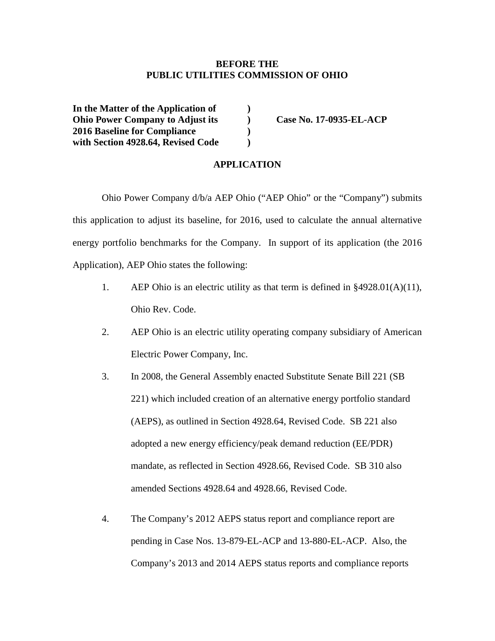#### **BEFORE THE PUBLIC UTILITIES COMMISSION OF OHIO**

**In the Matter of the Application of ) Ohio Power Company to Adjust its ) Case No. 17-0935-EL-ACP 2016 Baseline for Compliance ) with Section 4928.64, Revised Code )**

#### **APPLICATION**

Ohio Power Company d/b/a AEP Ohio ("AEP Ohio" or the "Company") submits this application to adjust its baseline, for 2016, used to calculate the annual alternative energy portfolio benchmarks for the Company. In support of its application (the 2016 Application), AEP Ohio states the following:

- 1. AEP Ohio is an electric utility as that term is defined in §4928.01(A)(11), Ohio Rev. Code.
- 2. AEP Ohio is an electric utility operating company subsidiary of American Electric Power Company, Inc.
- 3. In 2008, the General Assembly enacted Substitute Senate Bill 221 (SB 221) which included creation of an alternative energy portfolio standard (AEPS), as outlined in Section 4928.64, Revised Code. SB 221 also adopted a new energy efficiency/peak demand reduction (EE/PDR) mandate, as reflected in Section 4928.66, Revised Code. SB 310 also amended Sections 4928.64 and 4928.66, Revised Code.
- 4. The Company's 2012 AEPS status report and compliance report are pending in Case Nos. 13-879-EL-ACP and 13-880-EL-ACP. Also, the Company's 2013 and 2014 AEPS status reports and compliance reports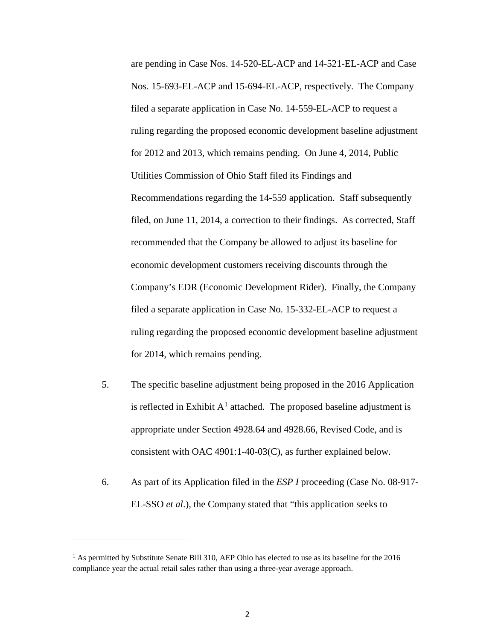are pending in Case Nos. 14-520-EL-ACP and 14-521-EL-ACP and Case Nos. 15-693-EL-ACP and 15-694-EL-ACP, respectively. The Company filed a separate application in Case No. 14-559-EL-ACP to request a ruling regarding the proposed economic development baseline adjustment for 2012 and 2013, which remains pending. On June 4, 2014, Public Utilities Commission of Ohio Staff filed its Findings and Recommendations regarding the 14-559 application. Staff subsequently filed, on June 11, 2014, a correction to their findings. As corrected, Staff recommended that the Company be allowed to adjust its baseline for economic development customers receiving discounts through the Company's EDR (Economic Development Rider). Finally, the Company filed a separate application in Case No. 15-332-EL-ACP to request a ruling regarding the proposed economic development baseline adjustment for 2014, which remains pending.

- 5. The specific baseline adjustment being proposed in the 2016 Application is reflected in Exhibit  $A<sup>1</sup>$  $A<sup>1</sup>$  $A<sup>1</sup>$  attached. The proposed baseline adjustment is appropriate under Section 4928.64 and 4928.66, Revised Code, and is consistent with OAC 4901:1-40-03(C), as further explained below.
- 6. As part of its Application filed in the *ESP I* proceeding (Case No. 08-917- EL-SSO *et al*.), the Company stated that "this application seeks to

 $\overline{\phantom{a}}$ 

<span id="page-1-0"></span><sup>&</sup>lt;sup>1</sup> As permitted by Substitute Senate Bill 310, AEP Ohio has elected to use as its baseline for the 2016 compliance year the actual retail sales rather than using a three-year average approach.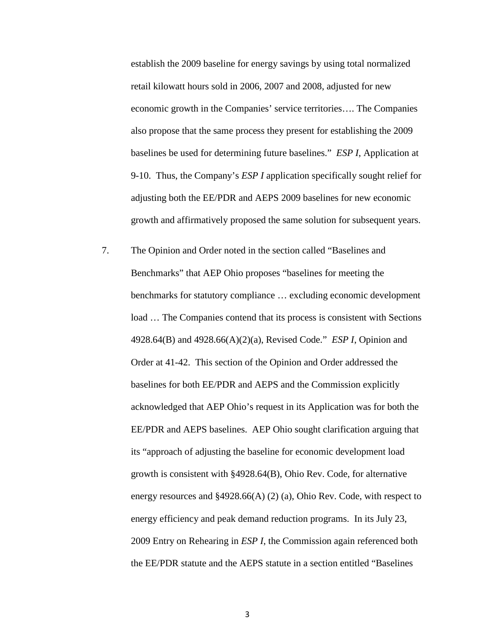establish the 2009 baseline for energy savings by using total normalized retail kilowatt hours sold in 2006, 2007 and 2008, adjusted for new economic growth in the Companies' service territories…. The Companies also propose that the same process they present for establishing the 2009 baselines be used for determining future baselines." *ESP I*, Application at 9-10. Thus, the Company's *ESP I* application specifically sought relief for adjusting both the EE/PDR and AEPS 2009 baselines for new economic growth and affirmatively proposed the same solution for subsequent years.

7. The Opinion and Order noted in the section called "Baselines and Benchmarks" that AEP Ohio proposes "baselines for meeting the benchmarks for statutory compliance … excluding economic development load … The Companies contend that its process is consistent with Sections 4928.64(B) and 4928.66(A)(2)(a), Revised Code." *ESP I*, Opinion and Order at 41-42. This section of the Opinion and Order addressed the baselines for both EE/PDR and AEPS and the Commission explicitly acknowledged that AEP Ohio's request in its Application was for both the EE/PDR and AEPS baselines. AEP Ohio sought clarification arguing that its "approach of adjusting the baseline for economic development load growth is consistent with §4928.64(B), Ohio Rev. Code, for alternative energy resources and §4928.66(A) (2) (a), Ohio Rev. Code, with respect to energy efficiency and peak demand reduction programs. In its July 23, 2009 Entry on Rehearing in *ESP I*, the Commission again referenced both the EE/PDR statute and the AEPS statute in a section entitled "Baselines

3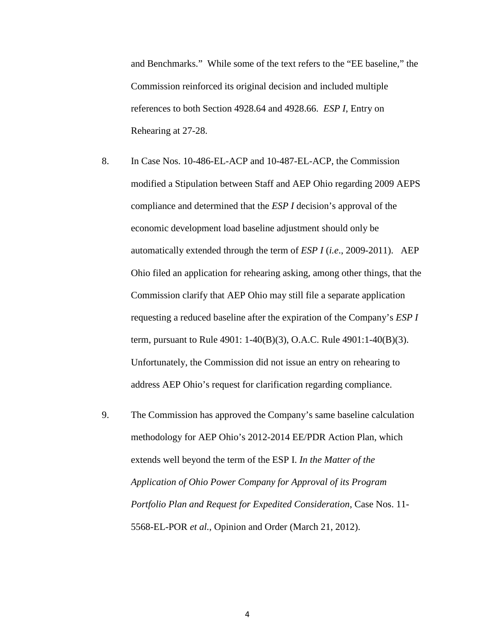and Benchmarks." While some of the text refers to the "EE baseline," the Commission reinforced its original decision and included multiple references to both Section 4928.64 and 4928.66. *ESP I*, Entry on Rehearing at 27-28.

- 8. In Case Nos. 10-486-EL-ACP and 10-487-EL-ACP, the Commission modified a Stipulation between Staff and AEP Ohio regarding 2009 AEPS compliance and determined that the *ESP I* decision's approval of the economic development load baseline adjustment should only be automatically extended through the term of *ESP I* (*i.e*., 2009-2011). AEP Ohio filed an application for rehearing asking, among other things, that the Commission clarify that AEP Ohio may still file a separate application requesting a reduced baseline after the expiration of the Company's *ESP I* term, pursuant to Rule 4901: 1-40(B)(3), O.A.C. Rule 4901:1-40(B)(3). Unfortunately, the Commission did not issue an entry on rehearing to address AEP Ohio's request for clarification regarding compliance.
- 9. The Commission has approved the Company's same baseline calculation methodology for AEP Ohio's 2012-2014 EE/PDR Action Plan, which extends well beyond the term of the ESP I. *In the Matter of the Application of Ohio Power Company for Approval of its Program Portfolio Plan and Request for Expedited Consideration*, Case Nos. 11- 5568-EL-POR *et al.*, Opinion and Order (March 21, 2012).

4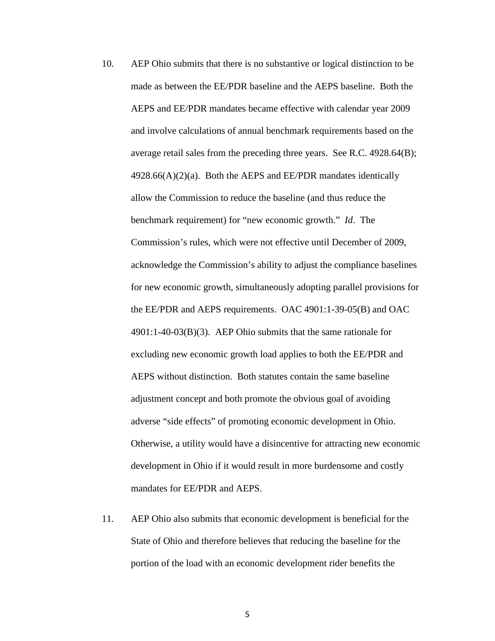- 10. AEP Ohio submits that there is no substantive or logical distinction to be made as between the EE/PDR baseline and the AEPS baseline. Both the AEPS and EE/PDR mandates became effective with calendar year 2009 and involve calculations of annual benchmark requirements based on the average retail sales from the preceding three years. See R.C. 4928.64(B);  $4928.66(A)(2)(a)$ . Both the AEPS and EE/PDR mandates identically allow the Commission to reduce the baseline (and thus reduce the benchmark requirement) for "new economic growth." *Id*. The Commission's rules, which were not effective until December of 2009, acknowledge the Commission's ability to adjust the compliance baselines for new economic growth, simultaneously adopting parallel provisions for the EE/PDR and AEPS requirements. OAC 4901:1-39-05(B) and OAC 4901:1-40-03(B)(3). AEP Ohio submits that the same rationale for excluding new economic growth load applies to both the EE/PDR and AEPS without distinction. Both statutes contain the same baseline adjustment concept and both promote the obvious goal of avoiding adverse "side effects" of promoting economic development in Ohio. Otherwise, a utility would have a disincentive for attracting new economic development in Ohio if it would result in more burdensome and costly mandates for EE/PDR and AEPS.
- 11. AEP Ohio also submits that economic development is beneficial for the State of Ohio and therefore believes that reducing the baseline for the portion of the load with an economic development rider benefits the

5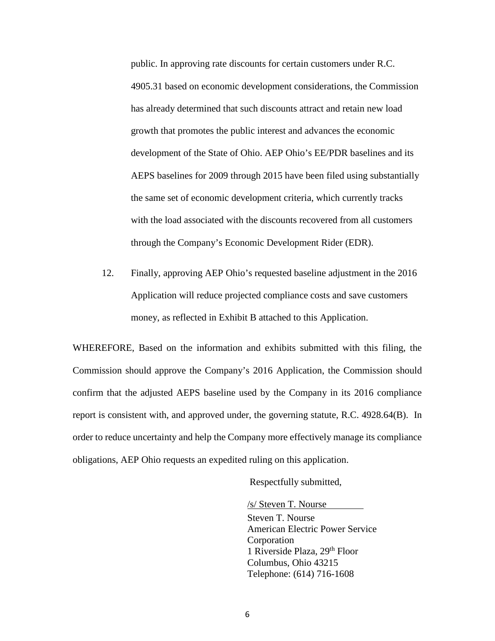public. In approving rate discounts for certain customers under R.C. 4905.31 based on economic development considerations, the Commission has already determined that such discounts attract and retain new load growth that promotes the public interest and advances the economic development of the State of Ohio. AEP Ohio's EE/PDR baselines and its AEPS baselines for 2009 through 2015 have been filed using substantially the same set of economic development criteria, which currently tracks with the load associated with the discounts recovered from all customers through the Company's Economic Development Rider (EDR).

12. Finally, approving AEP Ohio's requested baseline adjustment in the 2016 Application will reduce projected compliance costs and save customers money, as reflected in Exhibit B attached to this Application.

WHEREFORE, Based on the information and exhibits submitted with this filing, the Commission should approve the Company's 2016 Application, the Commission should confirm that the adjusted AEPS baseline used by the Company in its 2016 compliance report is consistent with, and approved under, the governing statute, R.C. 4928.64(B). In order to reduce uncertainty and help the Company more effectively manage its compliance obligations, AEP Ohio requests an expedited ruling on this application.

Respectfully submitted,

/s/ Steven T. Nourse

Steven T. Nourse American Electric Power Service Corporation 1 Riverside Plaza, 29th Floor Columbus, Ohio 43215 Telephone: (614) 716-1608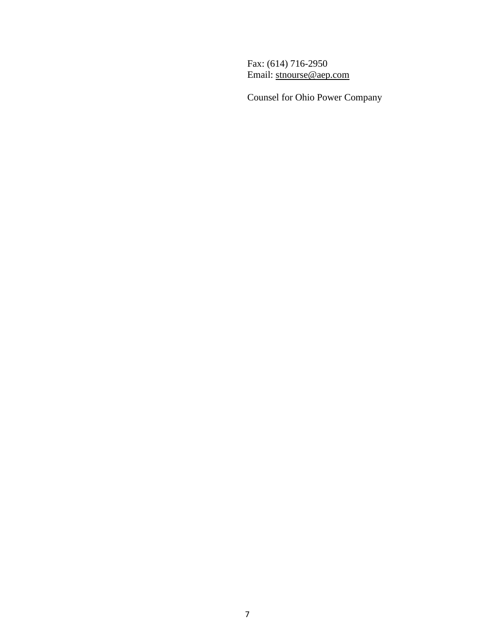Fax: (614) 716-2950 Email: [stnourse@aep.com](mailto:stnourse@aep.com)

Counsel for Ohio Power Company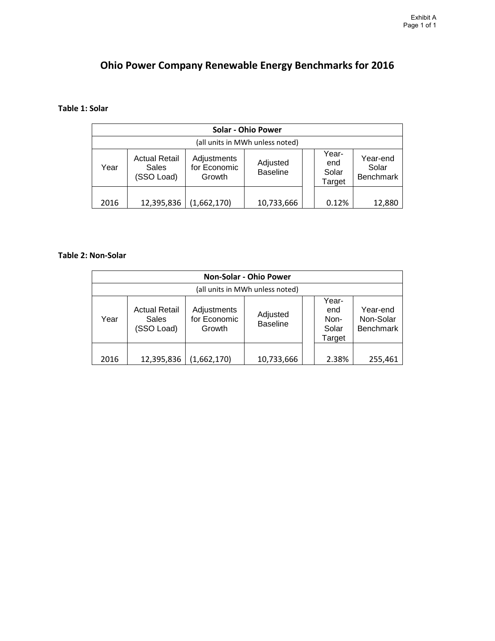# **Ohio Power Company Renewable Energy Benchmarks for 2016**

### **Table 1: Solar**

| <b>Solar - Ohio Power</b>       |                                             |                                       |                             |  |                                 |                                |  |  |  |
|---------------------------------|---------------------------------------------|---------------------------------------|-----------------------------|--|---------------------------------|--------------------------------|--|--|--|
| (all units in MWh unless noted) |                                             |                                       |                             |  |                                 |                                |  |  |  |
| Year                            | <b>Actual Retail</b><br>Sales<br>(SSO Load) | Adjustments<br>for Economic<br>Growth | Adjusted<br><b>Baseline</b> |  | Year-<br>end<br>Solar<br>Target | Year-end<br>Solar<br>Benchmark |  |  |  |
| 2016                            | 12,395,836                                  | (1,662,170)                           | 10,733,666                  |  | 0.12%                           | 12,880                         |  |  |  |

### **Table 2: Non-Solar**

| <b>Non-Solar - Ohio Power</b>   |                                                    |                                       |                             |  |                                         |                                           |  |  |
|---------------------------------|----------------------------------------------------|---------------------------------------|-----------------------------|--|-----------------------------------------|-------------------------------------------|--|--|
| (all units in MWh unless noted) |                                                    |                                       |                             |  |                                         |                                           |  |  |
| Year                            | <b>Actual Retail</b><br><b>Sales</b><br>(SSO Load) | Adjustments<br>for Economic<br>Growth | Adjusted<br><b>Baseline</b> |  | Year-<br>end<br>Non-<br>Solar<br>Target | Year-end<br>Non-Solar<br><b>Benchmark</b> |  |  |
| 2016                            | 12,395,836                                         | (1,662,170)                           | 10,733,666                  |  | 2.38%                                   | 255,461                                   |  |  |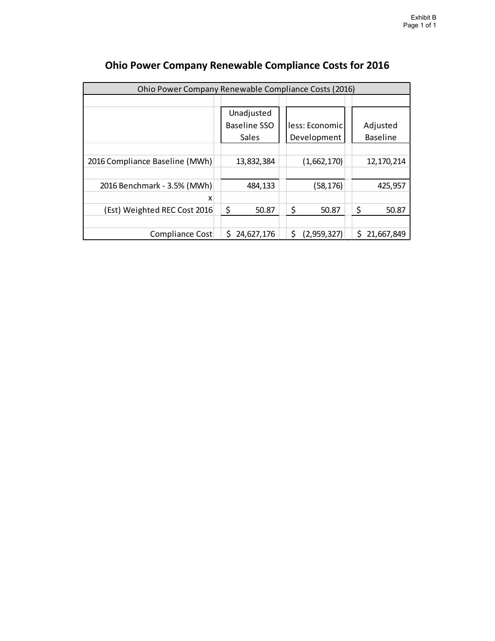| Ohio Power Company Renewable Compliance Costs (2016) |    |                     |  |                    |  |    |                 |  |  |
|------------------------------------------------------|----|---------------------|--|--------------------|--|----|-----------------|--|--|
|                                                      |    |                     |  |                    |  |    |                 |  |  |
|                                                      |    | Unadjusted          |  |                    |  |    |                 |  |  |
|                                                      |    | <b>Baseline SSO</b> |  | less: Economic     |  |    | Adjusted        |  |  |
|                                                      |    | Sales               |  | Development        |  |    | <b>Baseline</b> |  |  |
|                                                      |    |                     |  |                    |  |    |                 |  |  |
| 2016 Compliance Baseline (MWh)                       |    | 13,832,384          |  | (1,662,170)        |  |    | 12,170,214      |  |  |
|                                                      |    |                     |  |                    |  |    |                 |  |  |
| 2016 Benchmark - 3.5% (MWh)                          |    | 484,133             |  | (58,176)           |  |    | 425,957         |  |  |
| x                                                    |    |                     |  |                    |  |    |                 |  |  |
| (Est) Weighted REC Cost 2016                         | \$ | 50.87               |  | \$<br>50.87        |  | \$ | 50.87           |  |  |
|                                                      |    |                     |  |                    |  |    |                 |  |  |
| Compliance Cost                                      | S  | 24,627,176          |  | \$.<br>(2,959,327) |  | Ś. | 21,667,849      |  |  |

# **Ohio Power Company Renewable Compliance Costs for 2016**